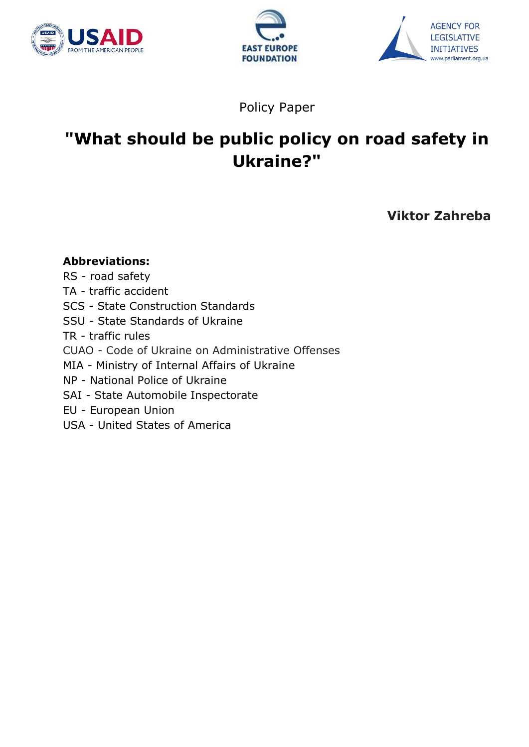





Policy Paper

# **"What should be public policy on road safety in Ukraine?"**

**Viktor Zahreba**

## **Abbreviations:**

- RS road safety
- TA traffic accident
- SCS State Construction Standards
- SSU State Standards of Ukraine
- TR traffic rules
- CUAO Code of Ukraine on Administrative Offenses
- MIA Ministry of Internal Affairs of Ukraine
- NP National Police of Ukraine
- SAI State Automobile Inspectorate
- EU European Union
- USA United States of America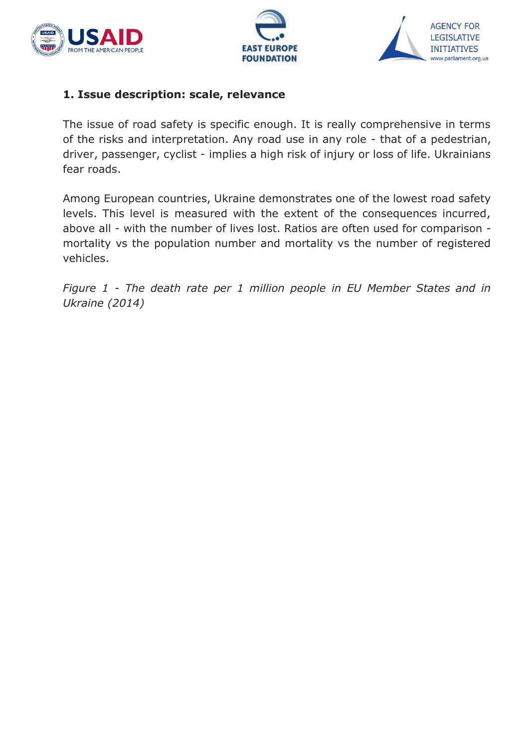





#### **1. Issue description: scale, relevance**

The issue of road safety is specific enough. It is really comprehensive in terms of the risks and interpretation. Any road use in any role - that of a pedestrian, driver, passenger, cyclist - implies a high risk of injury or loss of life. Ukrainians fear roads.

Among European countries, Ukraine demonstrates one of the lowest road safety levels. This level is measured with the extent of the consequences incurred, above all - with the number of lives lost. Ratios are often used for comparison mortality vs the population number and mortality vs the number of registered vehicles.

*Figure 1 - The death rate per 1 million people in EU Member States and in Ukraine (2014)*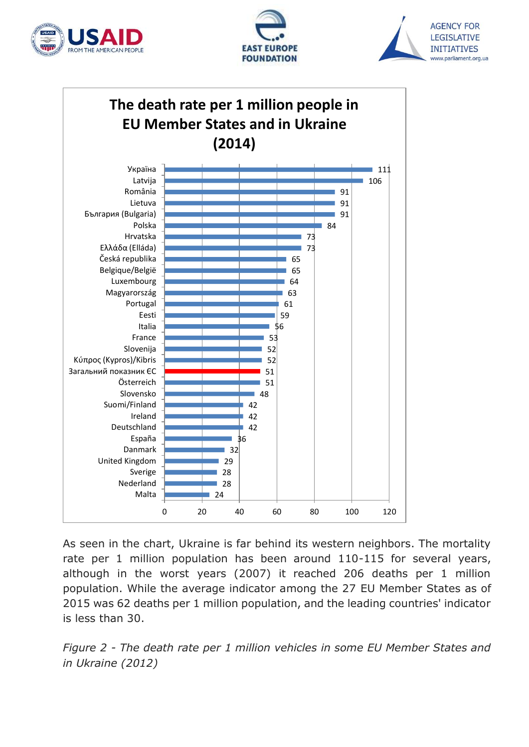







As seen in the chart, Ukraine is far behind its western neighbors. The mortality rate per 1 million population has been around 110-115 for several years, although in the worst years (2007) it reached 206 deaths per 1 million population. While the average indicator among the 27 EU Member States as of 2015 was 62 deaths per 1 million population, and the leading countries' indicator is less than 30.

*Figure 2 - The death rate per 1 million vehicles in some EU Member States and in Ukraine (2012)*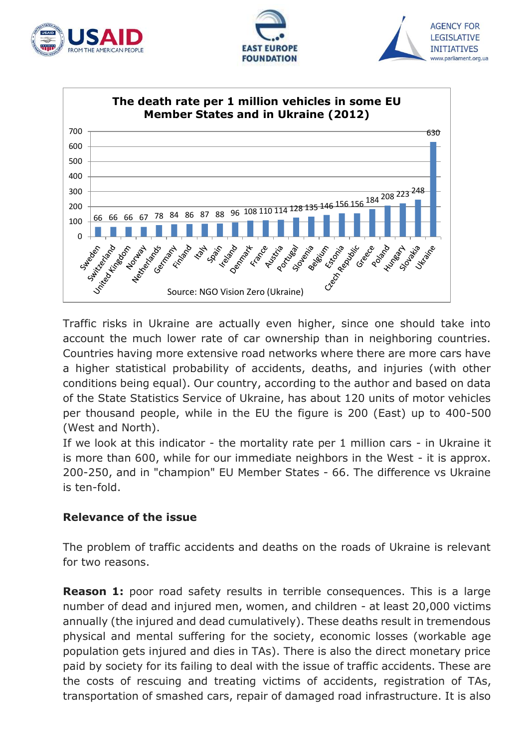







Traffic risks in Ukraine are actually even higher, since one should take into account the much lower rate of car ownership than in neighboring countries. Countries having more extensive road networks where there are more cars have a higher statistical probability of accidents, deaths, and injuries (with other conditions being equal). Our country, according to the author and based on data of the State Statistics Service of Ukraine, has about 120 units of motor vehicles per thousand people, while in the EU the figure is 200 (East) up to 400-500 (West and North).

If we look at this indicator - the mortality rate per 1 million cars - in Ukraine it is more than 600, while for our immediate neighbors in the West - it is approx. 200-250, and in "champion" EU Member States - 66. The difference vs Ukraine is ten-fold.

## **Relevance of the issue**

The problem of traffic accidents and deaths on the roads of Ukraine is relevant for two reasons.

**Reason 1:** poor road safety results in terrible consequences. This is a large number of dead and injured men, women, and children - at least 20,000 victims annually (the injured and dead cumulatively). These deaths result in tremendous physical and mental suffering for the society, economic losses (workable age population gets injured and dies in TAs). There is also the direct monetary price paid by society for its failing to deal with the issue of traffic accidents. These are the costs of rescuing and treating victims of accidents, registration of TAs, transportation of smashed cars, repair of damaged road infrastructure. It is also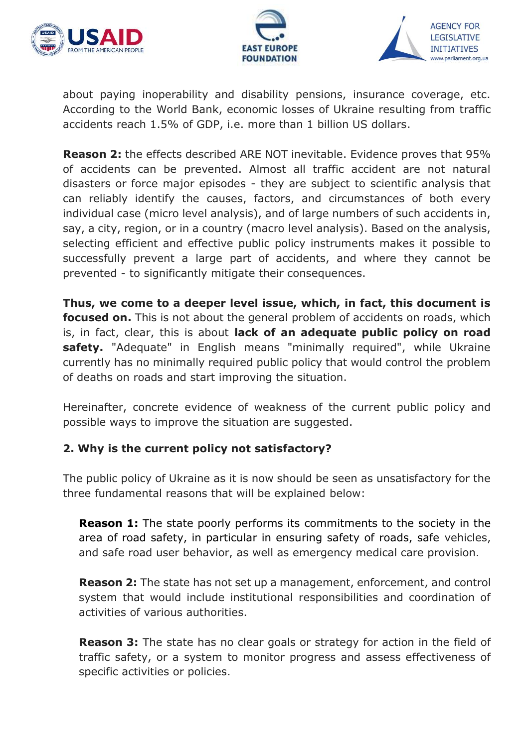





about paying inoperability and disability pensions, insurance coverage, etc. According to the World Bank, economic losses of Ukraine resulting from traffic accidents reach 1.5% of GDP, i.e. more than 1 billion US dollars.

**Reason 2:** the effects described ARE NOT inevitable. Evidence proves that 95% of accidents can be prevented. Almost all traffic accident are not natural disasters or force major episodes - they are subject to scientific analysis that can reliably identify the causes, factors, and circumstances of both every individual case (micro level analysis), and of large numbers of such accidents in, say, a city, region, or in a country (macro level analysis). Based on the analysis, selecting efficient and effective public policy instruments makes it possible to successfully prevent a large part of accidents, and where they cannot be prevented - to significantly mitigate their consequences.

**Thus, we come to a deeper level issue, which, in fact, this document is focused on.** This is not about the general problem of accidents on roads, which is, in fact, clear, this is about **lack of an adequate public policy on road**  safety. "Adequate" in English means "minimally required", while Ukraine currently has no minimally required public policy that would control the problem of deaths on roads and start improving the situation.

Hereinafter, concrete evidence of weakness of the current public policy and possible ways to improve the situation are suggested.

## **2. Why is the current policy not satisfactory?**

The public policy of Ukraine as it is now should be seen as unsatisfactory for the three fundamental reasons that will be explained below:

**Reason 1:** The state poorly performs its commitments to the society in the area of road safety, in particular in ensuring safety of roads, safe vehicles, and safe road user behavior, as well as emergency medical care provision.

**Reason 2:** The state has not set up a management, enforcement, and control system that would include institutional responsibilities and coordination of activities of various authorities.

**Reason 3:** The state has no clear goals or strategy for action in the field of traffic safety, or a system to monitor progress and assess effectiveness of specific activities or policies.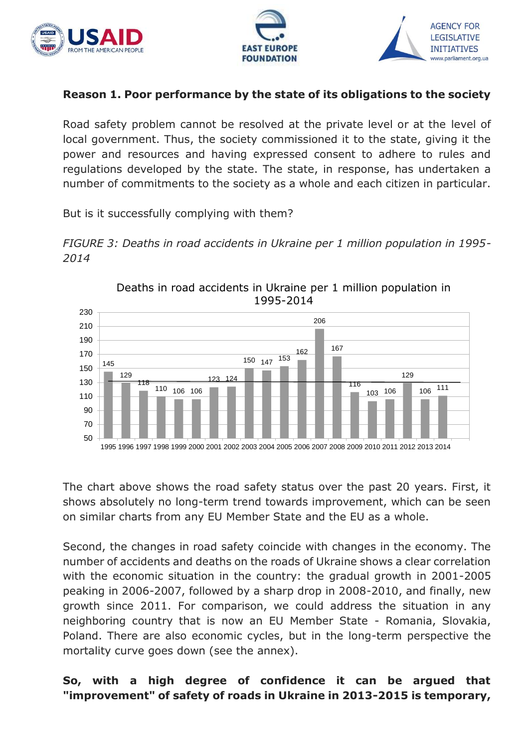





## **Reason 1. Poor performance by the state of its obligations to the society**

Road safety problem cannot be resolved at the private level or at the level of local government. Thus, the society commissioned it to the state, giving it the power and resources and having expressed consent to adhere to rules and regulations developed by the state. The state, in response, has undertaken a number of commitments to the society as a whole and each citizen in particular.

But is it successfully complying with them?





Deaths in road accidents in Ukraine per 1 million population in

The chart above shows the road safety status over the past 20 years. First, it shows absolutely no long-term trend towards improvement, which can be seen on similar charts from any EU Member State and the EU as a whole.

Second, the changes in road safety coincide with changes in the economy. The number of accidents and deaths on the roads of Ukraine shows a clear correlation with the economic situation in the country: the gradual growth in 2001-2005 peaking in 2006-2007, followed by a sharp drop in 2008-2010, and finally, new growth since 2011. For comparison, we could address the situation in any neighboring country that is now an EU Member State - Romania, Slovakia, Poland. There are also economic cycles, but in the long-term perspective the mortality curve goes down (see the annex).

**So, with a high degree of confidence it can be argued that "improvement" of safety of roads in Ukraine in 2013-2015 is temporary,**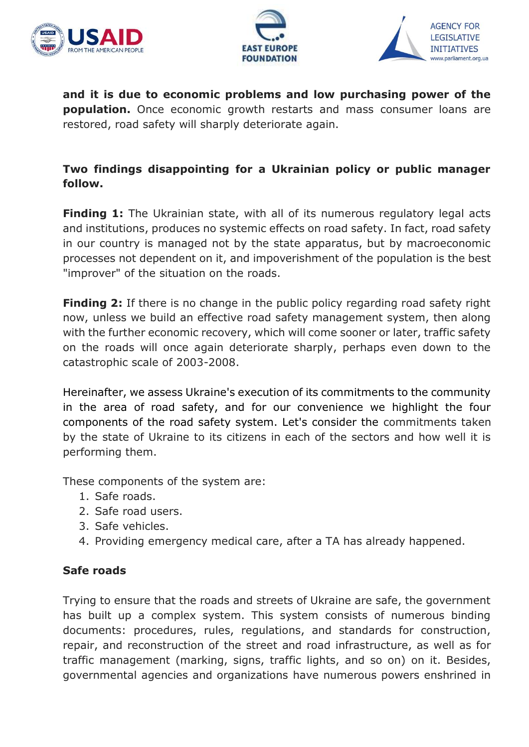





**and it is due to economic problems and low purchasing power of the population.** Once economic growth restarts and mass consumer loans are restored, road safety will sharply deteriorate again.

## **Two findings disappointing for a Ukrainian policy or public manager follow.**

**Finding 1:** The Ukrainian state, with all of its numerous regulatory legal acts and institutions, produces no systemic effects on road safety. In fact, road safety in our country is managed not by the state apparatus, but by macroeconomic processes not dependent on it, and impoverishment of the population is the best "improver" of the situation on the roads.

**Finding 2:** If there is no change in the public policy regarding road safety right now, unless we build an effective road safety management system, then along with the further economic recovery, which will come sooner or later, traffic safety on the roads will once again deteriorate sharply, perhaps even down to the catastrophic scale of 2003-2008.

Hereinafter, we assess Ukraine's execution of its commitments to the community in the area of road safety, and for our convenience we highlight the four components of the road safety system. Let's consider the commitments taken by the state of Ukraine to its citizens in each of the sectors and how well it is performing them.

These components of the system are:

- 1. Safe roads.
- 2. Safe road users.
- 3. Safe vehicles.
- 4. Providing emergency medical care, after a TA has already happened.

## **Safe roads**

Trying to ensure that the roads and streets of Ukraine are safe, the government has built up a complex system. This system consists of numerous binding documents: procedures, rules, regulations, and standards for construction, repair, and reconstruction of the street and road infrastructure, as well as for traffic management (marking, signs, traffic lights, and so on) on it. Besides, governmental agencies and organizations have numerous powers enshrined in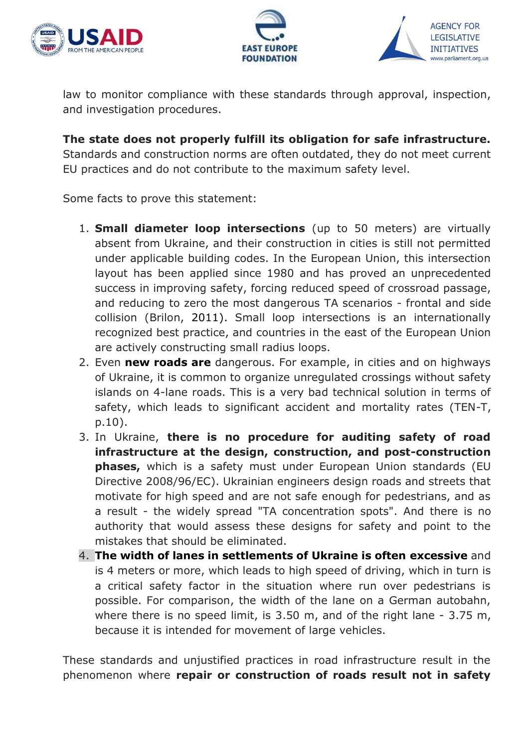





law to monitor compliance with these standards through approval, inspection, and investigation procedures.

**The state does not properly fulfill its obligation for safe infrastructure.** Standards and construction norms are often outdated, they do not meet current EU practices and do not contribute to the maximum safety level.

Some facts to prove this statement:

- 1. **Small diameter loop intersections** (up to 50 meters) are virtually absent from Ukraine, and their construction in cities is still not permitted under applicable building codes. In the European Union, this intersection layout has been applied since 1980 and has proved an unprecedented success in improving safety, forcing reduced speed of crossroad passage, and reducing to zero the most dangerous TA scenarios - frontal and side collision (Brilon, 2011). Small loop intersections is an internationally recognized best practice, and countries in the east of the European Union are actively constructing small radius loops.
- 2. Even **new roads are** dangerous. For example, in cities and on highways of Ukraine, it is common to organize unregulated crossings without safety islands on 4-lane roads. This is a very bad technical solution in terms of safety, which leads to significant accident and mortality rates (TEN-T, p.10).
- 3. In Ukraine, **there is no procedure for auditing safety of road infrastructure at the design, construction, and post-construction phases,** which is a safety must under European Union standards (EU Directive 2008/96/EC). Ukrainian engineers design roads and streets that motivate for high speed and are not safe enough for pedestrians, and as a result - the widely spread "TA concentration spots". And there is no authority that would assess these designs for safety and point to the mistakes that should be eliminated.
- 4. **The width of lanes in settlements of Ukraine is often excessive** and is 4 meters or more, which leads to high speed of driving, which in turn is a critical safety factor in the situation where run over pedestrians is possible. For comparison, the width of the lane on a German autobahn, where there is no speed limit, is 3.50 m, and of the right lane - 3.75 m, because it is intended for movement of large vehicles.

These standards and unjustified practices in road infrastructure result in the phenomenon where **repair or construction of roads result not in safety**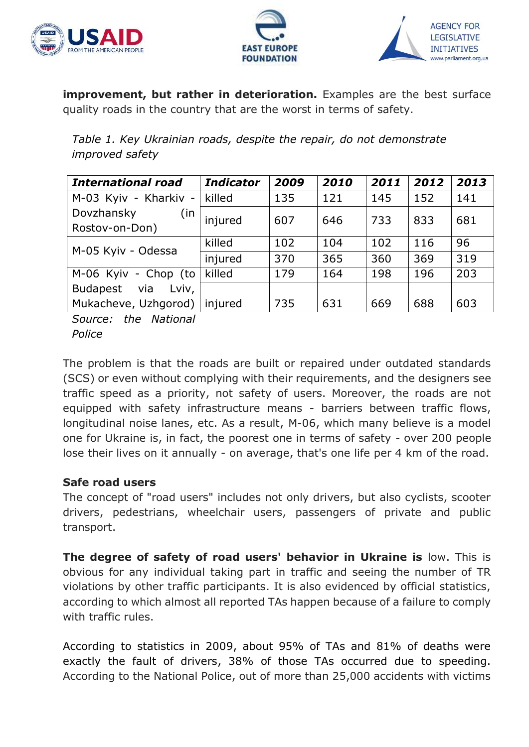





**improvement, but rather in deterioration.** Examples are the best surface quality roads in the country that are the worst in terms of safety.

*Table 1. Key Ukrainian roads, despite the repair, do not demonstrate improved safety*

| <b>International road</b> | <b>Indicator</b> | 2009 | 2010 | 2011 | 2012 | 2013 |
|---------------------------|------------------|------|------|------|------|------|
| M-03 Kyiv - Kharkiv -     | killed           | 135  | 121  | 145  | 152  | 141  |
| Dovzhansky<br>(in         | injured          | 607  | 646  | 733  | 833  | 681  |
| Rostov-on-Don)            |                  |      |      |      |      |      |
| M-05 Kyiv - Odessa        | killed           | 102  | 104  | 102  | 116  | 96   |
|                           | injured          | 370  | 365  | 360  | 369  | 319  |
| M-06 Kyiv - Chop (to      | killed           | 179  | 164  | 198  | 196  | 203  |
| Budapest via<br>Lviv,     |                  |      |      |      |      |      |
| Mukacheve, Uzhgorod)      | injured          | 735  | 631  | 669  | 688  | 603  |

*Source: the National Police* 

The problem is that the roads are built or repaired under outdated standards (SCS) or even without complying with their requirements, and the designers see traffic speed as a priority, not safety of users. Moreover, the roads are not equipped with safety infrastructure means - barriers between traffic flows, longitudinal noise lanes, etc. As a result, M-06, which many believe is a model one for Ukraine is, in fact, the poorest one in terms of safety - over 200 people lose their lives on it annually - on average, that's one life per 4 km of the road.

## **Safe road users**

The concept of "road users" includes not only drivers, but also cyclists, scooter drivers, pedestrians, wheelchair users, passengers of private and public transport.

**The degree of safety of road users' behavior in Ukraine is** low. This is obvious for any individual taking part in traffic and seeing the number of TR violations by other traffic participants. It is also evidenced by official statistics, according to which almost all reported TAs happen because of a failure to comply with traffic rules.

According to statistics in 2009, about 95% of TAs and 81% of deaths were exactly the fault of drivers, 38% of those TAs occurred due to speeding. According to the National Police, out of more than 25,000 accidents with victims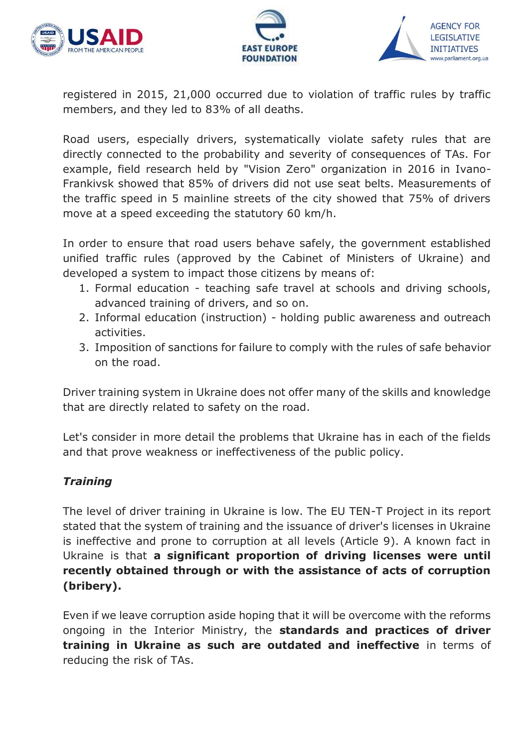





registered in 2015, 21,000 occurred due to violation of traffic rules by traffic members, and they led to 83% of all deaths.

Road users, especially drivers, systematically violate safety rules that are directly connected to the probability and severity of consequences of TAs. For example, field research held by "Vision Zero" organization in 2016 in Ivano-Frankivsk showed that 85% of drivers did not use seat belts. Measurements of the traffic speed in 5 mainline streets of the city showed that 75% of drivers move at a speed exceeding the statutory 60 km/h.

In order to ensure that road users behave safely, the government established unified traffic rules (approved by the Cabinet of Ministers of Ukraine) and developed a system to impact those citizens by means of:

- 1. Formal education teaching safe travel at schools and driving schools, advanced training of drivers, and so on.
- 2. Informal education (instruction) holding public awareness and outreach activities.
- 3. Imposition of sanctions for failure to comply with the rules of safe behavior on the road.

Driver training system in Ukraine does not offer many of the skills and knowledge that are directly related to safety on the road.

Let's consider in more detail the problems that Ukraine has in each of the fields and that prove weakness or ineffectiveness of the public policy.

## *Training*

The level of driver training in Ukraine is low. The EU TEN-T Project in its report stated that the system of training and the issuance of driver's licenses in Ukraine is ineffective and prone to corruption at all levels (Article 9). A known fact in Ukraine is that **a significant proportion of driving licenses were until recently obtained through or with the assistance of acts of corruption (bribery).**

Even if we leave corruption aside hoping that it will be overcome with the reforms ongoing in the Interior Ministry, the **standards and practices of driver training in Ukraine as such are outdated and ineffective** in terms of reducing the risk of TAs.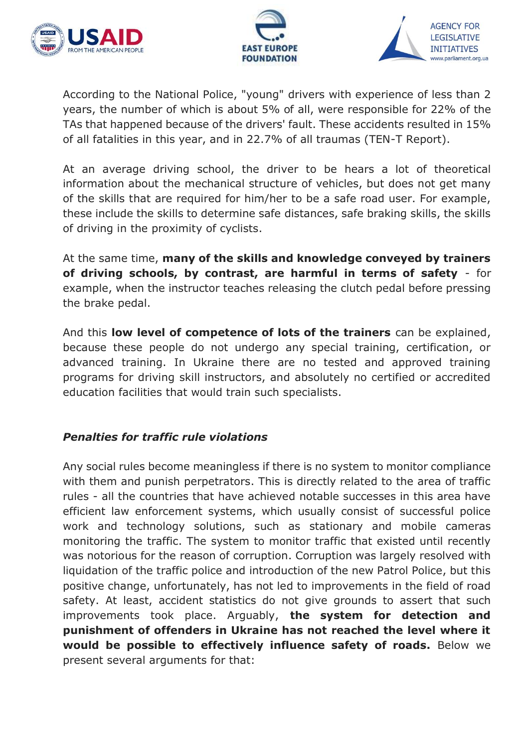





According to the National Police, "young" drivers with experience of less than 2 years, the number of which is about 5% of all, were responsible for 22% of the TAs that happened because of the drivers' fault. These accidents resulted in 15% of all fatalities in this year, and in 22.7% of all traumas (TEN-T Report).

At an average driving school, the driver to be hears a lot of theoretical information about the mechanical structure of vehicles, but does not get many of the skills that are required for him/her to be a safe road user. For example, these include the skills to determine safe distances, safe braking skills, the skills of driving in the proximity of cyclists.

At the same time, **many of the skills and knowledge conveyed by trainers of driving schools, by contrast, are harmful in terms of safety** - for example, when the instructor teaches releasing the clutch pedal before pressing the brake pedal.

And this **low level of competence of lots of the trainers** can be explained, because these people do not undergo any special training, certification, or advanced training. In Ukraine there are no tested and approved training programs for driving skill instructors, and absolutely no certified or accredited education facilities that would train such specialists.

## *Penalties for traffic rule violations*

Any social rules become meaningless if there is no system to monitor compliance with them and punish perpetrators. This is directly related to the area of traffic rules - all the countries that have achieved notable successes in this area have efficient law enforcement systems, which usually consist of successful police work and technology solutions, such as stationary and mobile cameras monitoring the traffic. The system to monitor traffic that existed until recently was notorious for the reason of corruption. Corruption was largely resolved with liquidation of the traffic police and introduction of the new Patrol Police, but this positive change, unfortunately, has not led to improvements in the field of road safety. At least, accident statistics do not give grounds to assert that such improvements took place. Arguably, **the system for detection and punishment of offenders in Ukraine has not reached the level where it would be possible to effectively influence safety of roads.** Below we present several arguments for that: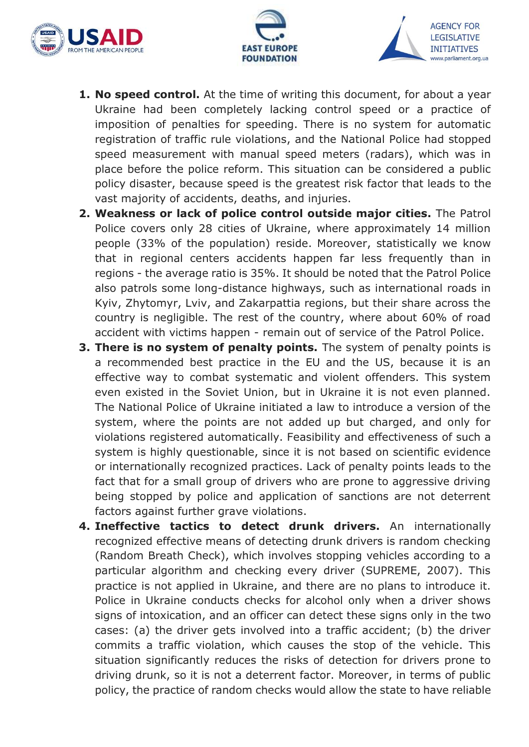





- **1. No speed control.** At the time of writing this document, for about a year Ukraine had been completely lacking control speed or a practice of imposition of penalties for speeding. There is no system for automatic registration of traffic rule violations, and the National Police had stopped speed measurement with manual speed meters (radars), which was in place before the police reform. This situation can be considered a public policy disaster, because speed is the greatest risk factor that leads to the vast majority of accidents, deaths, and injuries.
- **2. Weakness or lack of police control outside major cities.** The Patrol Police covers only 28 cities of Ukraine, where approximately 14 million people (33% of the population) reside. Moreover, statistically we know that in regional centers accidents happen far less frequently than in regions - the average ratio is 35%. It should be noted that the Patrol Police also patrols some long-distance highways, such as international roads in Kyiv, Zhytomyr, Lviv, and Zakarpattia regions, but their share across the country is negligible. The rest of the country, where about 60% of road accident with victims happen - remain out of service of the Patrol Police.
- **3. There is no system of penalty points.** The system of penalty points is a recommended best practice in the EU and the US, because it is an effective way to combat systematic and violent offenders. This system even existed in the Soviet Union, but in Ukraine it is not even planned. The National Police of Ukraine initiated a law to introduce a version of the system, where the points are not added up but charged, and only for violations registered automatically. Feasibility and effectiveness of such a system is highly questionable, since it is not based on scientific evidence or internationally recognized practices. Lack of penalty points leads to the fact that for a small group of drivers who are prone to aggressive driving being stopped by police and application of sanctions are not deterrent factors against further grave violations.
- **4. Ineffective tactics to detect drunk drivers.** An internationally recognized effective means of detecting drunk drivers is random checking (Random Breath Check), which involves stopping vehicles according to a particular algorithm and checking every driver (SUPREME, 2007). This practice is not applied in Ukraine, and there are no plans to introduce it. Police in Ukraine conducts checks for alcohol only when a driver shows signs of intoxication, and an officer can detect these signs only in the two cases: (a) the driver gets involved into a traffic accident; (b) the driver commits a traffic violation, which causes the stop of the vehicle. This situation significantly reduces the risks of detection for drivers prone to driving drunk, so it is not a deterrent factor. Moreover, in terms of public policy, the practice of random checks would allow the state to have reliable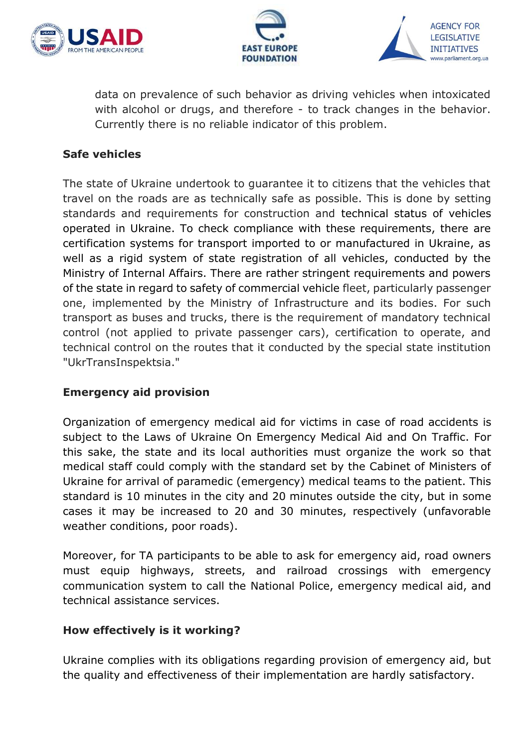





data on prevalence of such behavior as driving vehicles when intoxicated with alcohol or drugs, and therefore - to track changes in the behavior. Currently there is no reliable indicator of this problem.

## **Safe vehicles**

The state of Ukraine undertook to guarantee it to citizens that the vehicles that travel on the roads are as technically safe as possible. This is done by setting standards and requirements for construction and technical status of vehicles operated in Ukraine. To check compliance with these requirements, there are certification systems for transport imported to or manufactured in Ukraine, as well as a rigid system of state registration of all vehicles, conducted by the Ministry of Internal Affairs. There are rather stringent requirements and powers of the state in regard to safety of commercial vehicle fleet, particularly passenger one, implemented by the Ministry of Infrastructure and its bodies. For such transport as buses and trucks, there is the requirement of mandatory technical control (not applied to private passenger cars), certification to operate, and technical control on the routes that it conducted by the special state institution "UkrTransInspektsia."

## **Emergency aid provision**

Organization of emergency medical aid for victims in case of road accidents is subject to the Laws of [Ukraine](http://zakon3.rada.gov.ua/laws/show/5081-17) On Emergency Medical Aid and On Traffic. For this sake, the state and its local authorities must organize the work so that medical staff could comply with the standard set by the Cabinet of Ministers of Ukraine for arrival of paramedic (emergency) medical teams to the patient. This standard is 10 minutes in the city and 20 minutes outside the city, but in some cases it may be increased to 20 and 30 minutes, respectively (unfavorable weather conditions, poor roads).

Moreover, for TA participants to be able to ask for emergency aid, road owners must equip highways, streets, and railroad crossings with emergency communication system to call the National Police, emergency medical aid, and technical assistance services.

## **How effectively is it working?**

Ukraine complies with its obligations regarding provision of emergency aid, but the quality and effectiveness of their implementation are hardly satisfactory.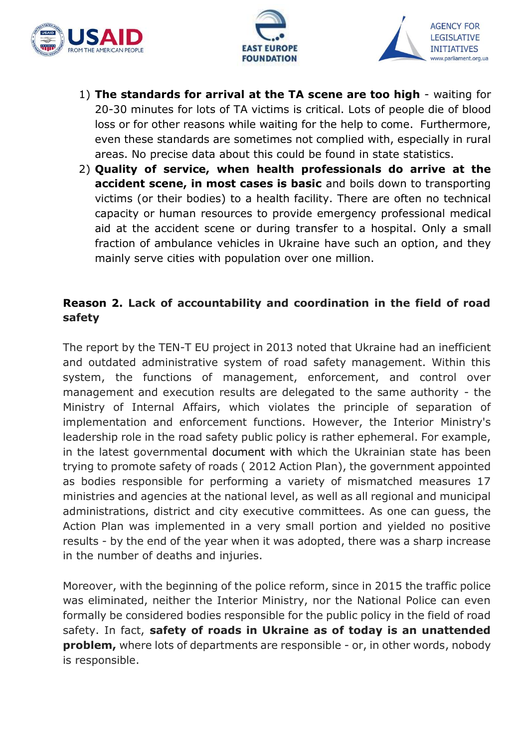





- 1) **The standards for arrival at the TA scene are too high** waiting for 20-30 minutes for lots of TA victims is critical. Lots of people die of blood loss or for other reasons while waiting for the help to come. Furthermore, even these standards are sometimes not complied with, especially in rural areas. No precise data about this could be found in state statistics.
- 2) **Quality of service, when health professionals do arrive at the accident scene, in most cases is basic** and boils down to transporting victims (or their bodies) to a health facility. There are often no technical capacity or human resources to provide emergency professional medical aid at the accident scene or during transfer to a hospital. Only a small fraction of ambulance vehicles in Ukraine have such an option, and they mainly serve cities with population over one million.

## **Reason 2. Lack of accountability and coordination in the field of road safety**

The report by the TEN-T EU project in 2013 noted that Ukraine had an inefficient and outdated administrative system of road safety management. Within this system, the functions of management, enforcement, and control over management and execution results are delegated to the same authority - the Ministry of Internal Affairs, which violates the principle of separation of implementation and enforcement functions. However, the Interior Ministry's leadership role in the road safety public policy is rather ephemeral. For example, in the latest governmental document with which the Ukrainian state has been trying to promote safety of roads ( 2012 Action Plan), the government appointed as bodies responsible for performing a variety of mismatched measures 17 ministries and agencies at the national level, as well as all regional and municipal administrations, district and city executive committees. As one can guess, the Action Plan was implemented in a very small portion and yielded no positive results - by the end of the year when it was adopted, there was a sharp increase in the number of deaths and injuries.

Moreover, with the beginning of the police reform, since in 2015 the traffic police was eliminated, neither the Interior Ministry, nor the National Police can even formally be considered bodies responsible for the public policy in the field of road safety. In fact, **safety of roads in Ukraine as of today is an unattended problem,** where lots of departments are responsible - or, in other words, nobody is responsible.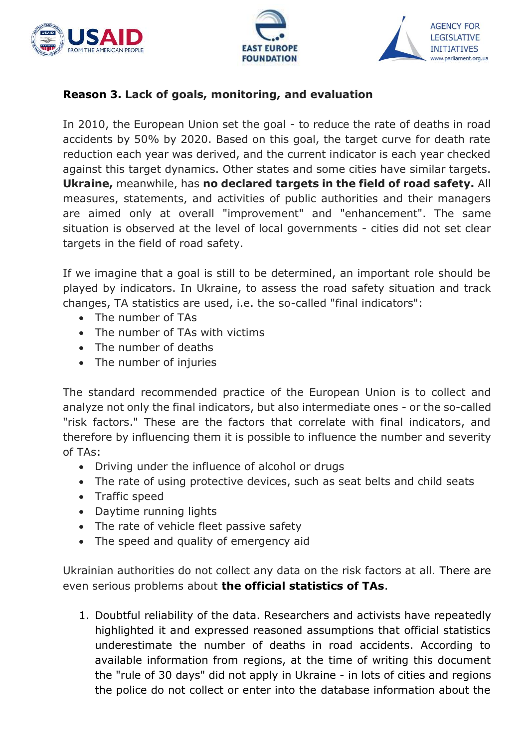





## **Reason 3. Lack of goals, monitoring, and evaluation**

In 2010, the European Union set the goal - to reduce the rate of deaths in road accidents by 50% by 2020. Based on this goal, the target curve for death rate reduction each year was derived, and the current indicator is each year checked against this target dynamics. Other states and some cities have similar targets. **Ukraine,** meanwhile, has **no declared targets in the field of road safety.** All measures, statements, and activities of public authorities and their managers are aimed only at overall "improvement" and "enhancement". The same situation is observed at the level of local governments - cities did not set clear targets in the field of road safety.

If we imagine that a goal is still to be determined, an important role should be played by indicators. In Ukraine, to assess the road safety situation and track changes, TA statistics are used, i.e. the so-called "final indicators":

- The number of TAs
- The number of TAs with victims
- The number of deaths
- The number of injuries

The standard recommended practice of the European Union is to collect and analyze not only the final indicators, but also intermediate ones - or the so-called "risk factors." These are the factors that correlate with final indicators, and therefore by influencing them it is possible to influence the number and severity of TAs:

- Driving under the influence of alcohol or drugs
- The rate of using protective devices, such as seat belts and child seats
- Traffic speed
- Daytime running lights
- The rate of vehicle fleet passive safety
- The speed and quality of emergency aid

Ukrainian authorities do not collect any data on the risk factors at all. There are even serious problems about **the official statistics of TAs**.

1. Doubtful reliability of the data. Researchers and activists have repeatedly highlighted it and expressed reasoned assumptions that official statistics underestimate the number of deaths in road accidents. According to available information from regions, at the time of writing this document the "rule of 30 days" did not apply in Ukraine - in lots of cities and regions the police do not collect or enter into the database information about the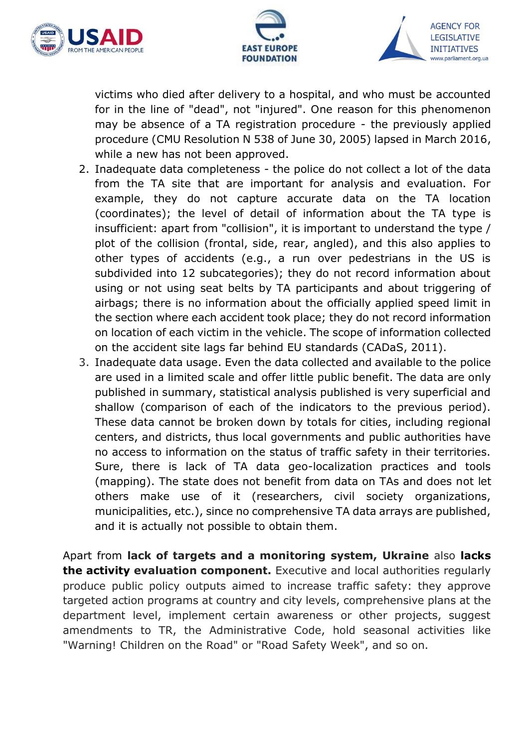





victims who died after delivery to a hospital, and who must be accounted for in the line of "dead", not "injured". One reason for this phenomenon may be absence of a TA registration procedure - the previously applied procedure (CMU Resolution N 538 of June 30, 2005) lapsed in March 2016, while a new has not been approved.

- 2. Inadequate data completeness the police do not collect a lot of the data from the TA site that are important for analysis and evaluation. For example, they do not capture accurate data on the TA location (coordinates); the level of detail of information about the TA type is insufficient: apart from "collision", it is important to understand the type / plot of the collision (frontal, side, rear, angled), and this also applies to other types of accidents (e.g., a run over pedestrians in the US is subdivided into 12 subcategories); they do not record information about using or not using seat belts by TA participants and about triggering of airbags; there is no information about the officially applied speed limit in the section where each accident took place; they do not record information on location of each victim in the vehicle. The scope of information collected on the accident site lags far behind EU standards (CADaS, 2011).
- 3. Inadequate data usage. Even the data collected and available to the police are used in a limited scale and offer little public benefit. The data are only published in summary, statistical analysis published is very superficial and shallow (comparison of each of the indicators to the previous period). These data cannot be broken down by totals for cities, including regional centers, and districts, thus local governments and public authorities have no access to information on the status of traffic safety in their territories. Sure, there is lack of TA data geo-localization practices and tools (mapping). The state does not benefit from data on TAs and does not let others make use of it (researchers, civil society organizations, municipalities, etc.), since no comprehensive TA data arrays are published, and it is actually not possible to obtain them.

Apart from **lack of targets and a monitoring system, Ukraine** also **lacks the activity evaluation component.** Executive and local authorities regularly produce public policy outputs aimed to increase traffic safety: they approve targeted action programs at country and city levels, comprehensive plans at the department level, implement certain awareness or other projects, suggest amendments to TR, the Administrative Code, hold seasonal activities like "Warning! Children on the Road" or "Road Safety Week", and so on.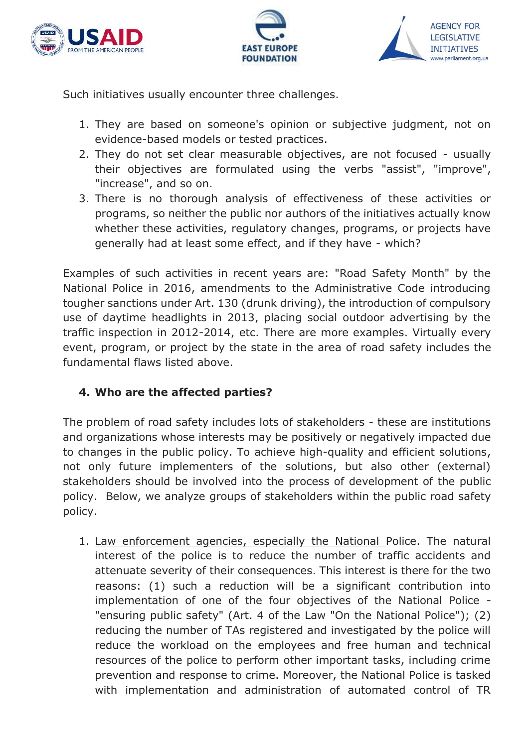





Such initiatives usually encounter three challenges.

- 1. They are based on someone's opinion or subjective judgment, not on evidence-based models or tested practices.
- 2. They do not set clear measurable objectives, are not focused usually their objectives are formulated using the verbs "assist", "improve", "increase", and so on.
- 3. There is no thorough analysis of effectiveness of these activities or programs, so neither the public nor authors of the initiatives actually know whether these activities, regulatory changes, programs, or projects have generally had at least some effect, and if they have - which?

Examples of such activities in recent years are: "Road Safety Month" by the National Police in 2016, amendments to the Administrative Code introducing tougher sanctions under Art. 130 (drunk driving), the introduction of compulsory use of daytime headlights in 2013, placing social outdoor advertising by the traffic inspection in 2012-2014, etc. There are more examples. Virtually every event, program, or project by the state in the area of road safety includes the fundamental flaws listed above.

## **4. Who are the affected parties?**

The problem of road safety includes lots of stakeholders - these are institutions and organizations whose interests may be positively or negatively impacted due to changes in the public policy. To achieve high-quality and efficient solutions, not only future implementers of the solutions, but also other (external) stakeholders should be involved into the process of development of the public policy. Below, we analyze groups of stakeholders within the public road safety policy.

1. Law enforcement agencies, especially the National Police. The natural interest of the police is to reduce the number of traffic accidents and attenuate severity of their consequences. This interest is there for the two reasons: (1) such a reduction will be a significant contribution into implementation of one of the four objectives of the National Police - "ensuring public safety" (Art. 4 of the Law "On the National Police"); (2) reducing the number of TAs registered and investigated by the police will reduce the workload on the employees and free human and technical resources of the police to perform other important tasks, including crime prevention and response to crime. Moreover, the National Police is tasked with implementation and administration of automated control of TR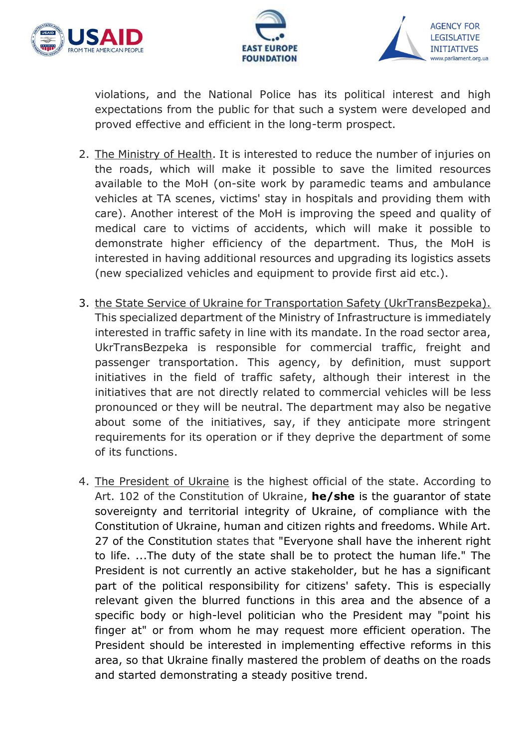





violations, and the National Police has its political interest and high expectations from the public for that such a system were developed and proved effective and efficient in the long-term prospect.

- 2. The Ministry of Health. It is interested to reduce the number of injuries on the roads, which will make it possible to save the limited resources available to the MoH (on-site work by paramedic teams and ambulance vehicles at TA scenes, victims' stay in hospitals and providing them with care). Another interest of the MoH is improving the speed and quality of medical care to victims of accidents, which will make it possible to demonstrate higher efficiency of the department. Thus, the MoH is interested in having additional resources and upgrading its logistics assets (new specialized vehicles and equipment to provide first aid etc.).
- 3. the State Service of Ukraine for Transportation Safety (UkrTransBezpeka). This specialized department of the Ministry of Infrastructure is immediately interested in traffic safety in line with its mandate. In the road sector area, UkrTransBezpeka is responsible for commercial traffic, freight and passenger transportation. This agency, by definition, must support initiatives in the field of traffic safety, although their interest in the initiatives that are not directly related to commercial vehicles will be less pronounced or they will be neutral. The department may also be negative about some of the initiatives, say, if they anticipate more stringent requirements for its operation or if they deprive the department of some of its functions.
- 4. The President of Ukraine is the highest official of the state. According to Art. 102 of the Constitution of Ukraine, **he/she** is the guarantor of state sovereignty and territorial integrity of Ukraine, of compliance with the Constitution of Ukraine, human and citizen rights and freedoms. While Art. 27 of the Constitution states that "Everyone shall have the inherent right to life. ...The duty of the state shall be to protect the human life." The President is not currently an active stakeholder, but he has a significant part of the political responsibility for citizens' safety. This is especially relevant given the blurred functions in this area and the absence of a specific body or high-level politician who the President may "point his finger at" or from whom he may request more efficient operation. The President should be interested in implementing effective reforms in this area, so that Ukraine finally mastered the problem of deaths on the roads and started demonstrating a steady positive trend.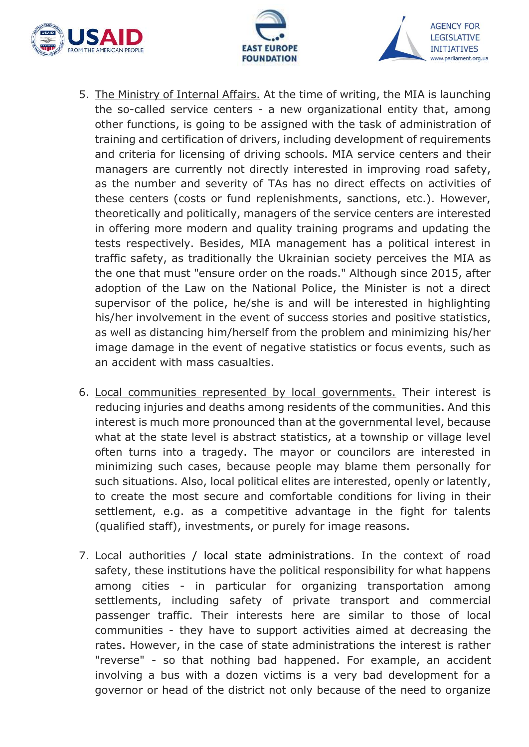





- 5. The Ministry of Internal Affairs. At the time of writing, the MIA is launching the so-called service centers - a new organizational entity that, among other functions, is going to be assigned with the task of administration of training and certification of drivers, including development of requirements and criteria for licensing of driving schools. MIA service centers and their managers are currently not directly interested in improving road safety, as the number and severity of TAs has no direct effects on activities of these centers (costs or fund replenishments, sanctions, etc.). However, theoretically and politically, managers of the service centers are interested in offering more modern and quality training programs and updating the tests respectively. Besides, MIA management has a political interest in traffic safety, as traditionally the Ukrainian society perceives the MIA as the one that must "ensure order on the roads." Although since 2015, after adoption of the Law on the National Police, the Minister is not a direct supervisor of the police, he/she is and will be interested in highlighting his/her involvement in the event of success stories and positive statistics, as well as distancing him/herself from the problem and minimizing his/her image damage in the event of negative statistics or focus events, such as an accident with mass casualties.
- 6. Local communities represented by local governments. Their interest is reducing injuries and deaths among residents of the communities. And this interest is much more pronounced than at the governmental level, because what at the state level is abstract statistics, at a township or village level often turns into a tragedy. The mayor or councilors are interested in minimizing such cases, because people may blame them personally for such situations. Also, local political elites are interested, openly or latently, to create the most secure and comfortable conditions for living in their settlement, e.g. as a competitive advantage in the fight for talents (qualified staff), investments, or purely for image reasons.
- 7. Local authorities / local state administrations. In the context of road safety, these institutions have the political responsibility for what happens among cities - in particular for organizing transportation among settlements, including safety of private transport and commercial passenger traffic. Their interests here are similar to those of local communities - they have to support activities aimed at decreasing the rates. However, in the case of state administrations the interest is rather "reverse" - so that nothing bad happened. For example, an accident involving a bus with a dozen victims is a very bad development for a governor or head of the district not only because of the need to organize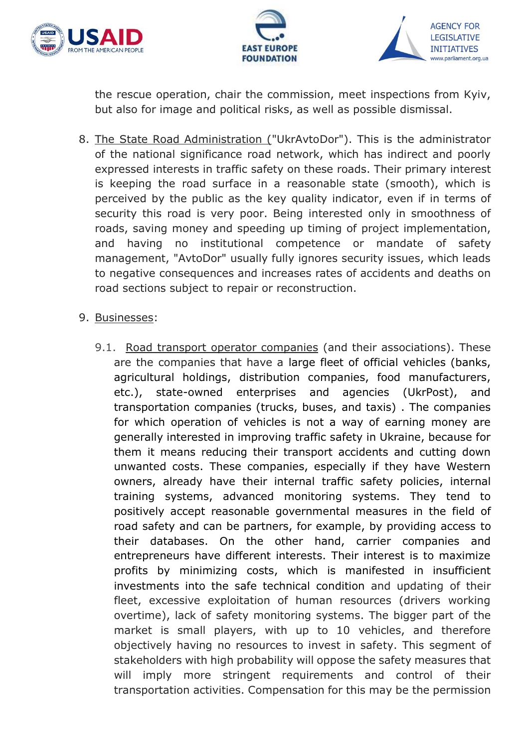





the rescue operation, chair the commission, meet inspections from Kyiv, but also for image and political risks, as well as possible dismissal.

8. The State Road Administration ("UkrAvtoDor"). This is the administrator of the national significance road network, which has indirect and poorly expressed interests in traffic safety on these roads. Their primary interest is keeping the road surface in a reasonable state (smooth), which is perceived by the public as the key quality indicator, even if in terms of security this road is very poor. Being interested only in smoothness of roads, saving money and speeding up timing of project implementation, and having no institutional competence or mandate of safety management, "AvtoDor" usually fully ignores security issues, which leads to negative consequences and increases rates of accidents and deaths on road sections subject to repair or reconstruction.

#### 9. Businesses:

9.1. Road transport operator companies (and their associations). These are the companies that have a large fleet of official vehicles (banks, agricultural holdings, distribution companies, food manufacturers, etc.), state-owned enterprises and agencies (UkrPost), and transportation companies (trucks, buses, and taxis) . The companies for which operation of vehicles is not a way of earning money are generally interested in improving traffic safety in Ukraine, because for them it means reducing their transport accidents and cutting down unwanted costs. These companies, especially if they have Western owners, already have their internal traffic safety policies, internal training systems, advanced monitoring systems. They tend to positively accept reasonable governmental measures in the field of road safety and can be partners, for example, by providing access to their databases. On the other hand, carrier companies and entrepreneurs have different interests. Their interest is to maximize profits by minimizing costs, which is manifested in insufficient investments into the safe technical condition and updating of their fleet, excessive exploitation of human resources (drivers working overtime), lack of safety monitoring systems. The bigger part of the market is small players, with up to 10 vehicles, and therefore objectively having no resources to invest in safety. This segment of stakeholders with high probability will oppose the safety measures that will imply more stringent requirements and control of their transportation activities. Compensation for this may be the permission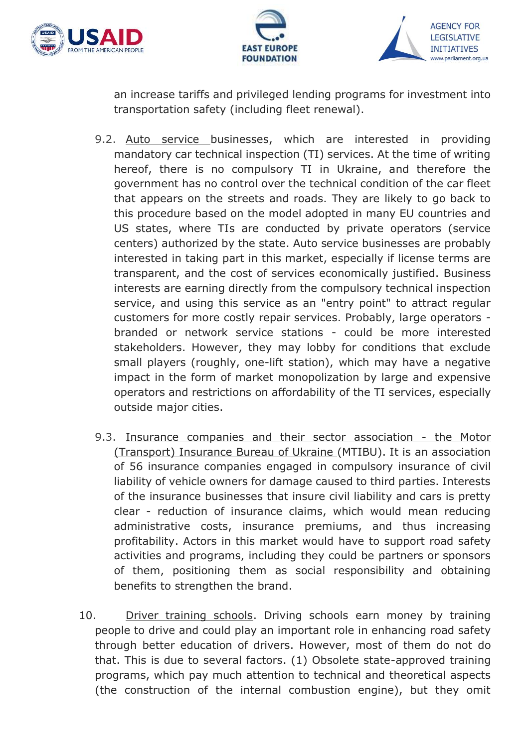





an increase tariffs and privileged lending programs for investment into transportation safety (including fleet renewal).

- 9.2. Auto service businesses, which are interested in providing mandatory car technical inspection (TI) services. At the time of writing hereof, there is no compulsory TI in Ukraine, and therefore the government has no control over the technical condition of the car fleet that appears on the streets and roads. They are likely to go back to this procedure based on the model adopted in many EU countries and US states, where TIs are conducted by private operators (service centers) authorized by the state. Auto service businesses are probably interested in taking part in this market, especially if license terms are transparent, and the cost of services economically justified. Business interests are earning directly from the compulsory technical inspection service, and using this service as an "entry point" to attract regular customers for more costly repair services. Probably, large operators branded or network service stations - could be more interested stakeholders. However, they may lobby for conditions that exclude small players (roughly, one-lift station), which may have a negative impact in the form of market monopolization by large and expensive operators and restrictions on affordability of the TI services, especially outside major cities.
- 9.3. Insurance companies and their sector association the Motor (Transport) Insurance Bureau of Ukraine (MTIBU). It is an association of 56 insurance companies engaged in compulsory insurance of civil liability of vehicle owners for damage caused to third parties. Interests of the insurance businesses that insure civil liability and cars is pretty clear - reduction of insurance claims, which would mean reducing administrative costs, insurance premiums, and thus increasing profitability. Actors in this market would have to support road safety activities and programs, including they could be partners or sponsors of them, positioning them as social responsibility and obtaining benefits to strengthen the brand.
- 10. Driver training schools. Driving schools earn money by training people to drive and could play an important role in enhancing road safety through better education of drivers. However, most of them do not do that. This is due to several factors. (1) Obsolete state-approved training programs, which pay much attention to technical and theoretical aspects (the construction of the internal combustion engine), but they omit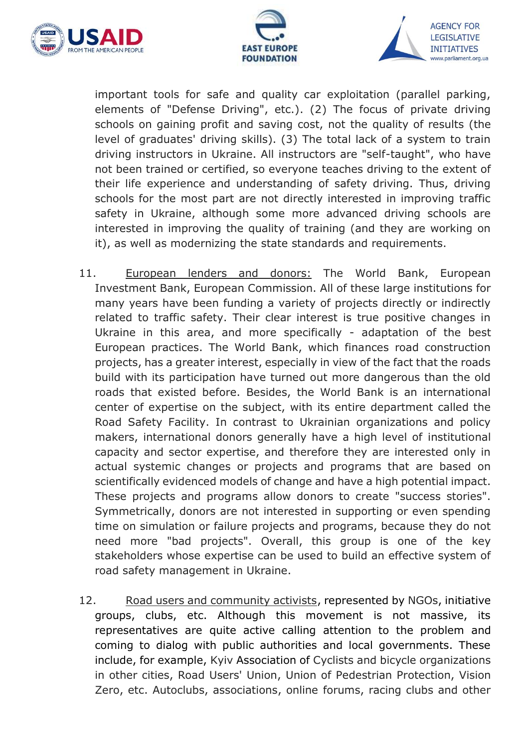





important tools for safe and quality car exploitation (parallel parking, elements of "Defense Driving", etc.). (2) The focus of private driving schools on gaining profit and saving cost, not the quality of results (the level of graduates' driving skills). (3) The total lack of a system to train driving instructors in Ukraine. All instructors are "self-taught", who have not been trained or certified, so everyone teaches driving to the extent of their life experience and understanding of safety driving. Thus, driving schools for the most part are not directly interested in improving traffic safety in Ukraine, although some more advanced driving schools are interested in improving the quality of training (and they are working on it), as well as modernizing the state standards and requirements.

- 11. European lenders and donors: The World Bank, European Investment Bank, European Commission. All of these large institutions for many years have been funding a variety of projects directly or indirectly related to traffic safety. Their clear interest is true positive changes in Ukraine in this area, and more specifically - adaptation of the best European practices. The World Bank, which finances road construction projects, has a greater interest, especially in view of the fact that the roads build with its participation have turned out more dangerous than the old roads that existed before. Besides, the World Bank is an international center of expertise on the subject, with its entire department called the Road Safety Facility. In contrast to Ukrainian organizations and policy makers, international donors generally have a high level of institutional capacity and sector expertise, and therefore they are interested only in actual systemic changes or projects and programs that are based on scientifically evidenced models of change and have a high potential impact. These projects and programs allow donors to create "success stories". Symmetrically, donors are not interested in supporting or even spending time on simulation or failure projects and programs, because they do not need more "bad projects". Overall, this group is one of the key stakeholders whose expertise can be used to build an effective system of road safety management in Ukraine.
- 12. Road users and community activists, represented by NGOs, initiative groups, clubs, etc. Although this movement is not massive, its representatives are quite active calling attention to the problem and coming to dialog with public authorities and local governments. These include, for example, Kyiv Association of Cyclists and bicycle organizations in other cities, Road Users' Union, Union of Pedestrian Protection, Vision Zero, etc. Autoclubs, associations, online forums, racing clubs and other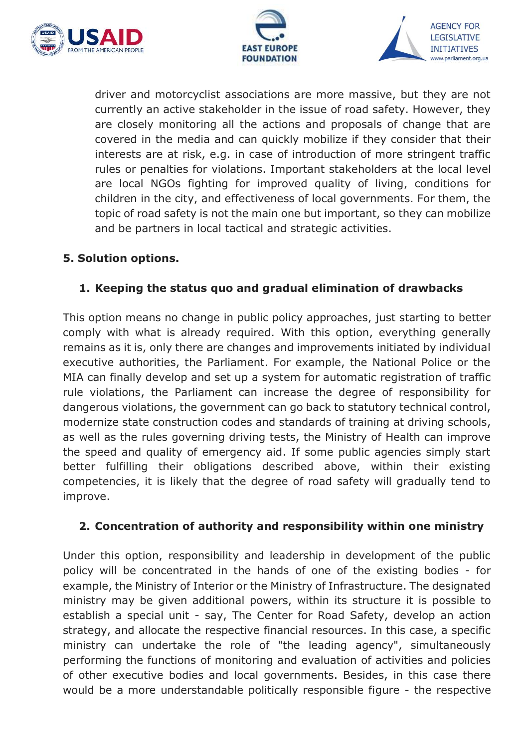





driver and motorcyclist associations are more massive, but they are not currently an active stakeholder in the issue of road safety. However, they are closely monitoring all the actions and proposals of change that are covered in the media and can quickly mobilize if they consider that their interests are at risk, e.g. in case of introduction of more stringent traffic rules or penalties for violations. Important stakeholders at the local level are local NGOs fighting for improved quality of living, conditions for children in the city, and effectiveness of local governments. For them, the topic of road safety is not the main one but important, so they can mobilize and be partners in local tactical and strategic activities.

## **5. Solution options.**

## **1. Keeping the status quo and gradual elimination of drawbacks**

This option means no change in public policy approaches, just starting to better comply with what is already required. With this option, everything generally remains as it is, only there are changes and improvements initiated by individual executive authorities, the Parliament. For example, the National Police or the MIA can finally develop and set up a system for automatic registration of traffic rule violations, the Parliament can increase the degree of responsibility for dangerous violations, the government can go back to statutory technical control, modernize state construction codes and standards of training at driving schools, as well as the rules governing driving tests, the Ministry of Health can improve the speed and quality of emergency aid. If some public agencies simply start better fulfilling their obligations described above, within their existing competencies, it is likely that the degree of road safety will gradually tend to improve.

## **2. Concentration of authority and responsibility within one ministry**

Under this option, responsibility and leadership in development of the public policy will be concentrated in the hands of one of the existing bodies - for example, the Ministry of Interior or the Ministry of Infrastructure. The designated ministry may be given additional powers, within its structure it is possible to establish a special unit - say, The Center for Road Safety, develop an action strategy, and allocate the respective financial resources. In this case, a specific ministry can undertake the role of "the leading agency", simultaneously performing the functions of monitoring and evaluation of activities and policies of other executive bodies and local governments. Besides, in this case there would be a more understandable politically responsible figure - the respective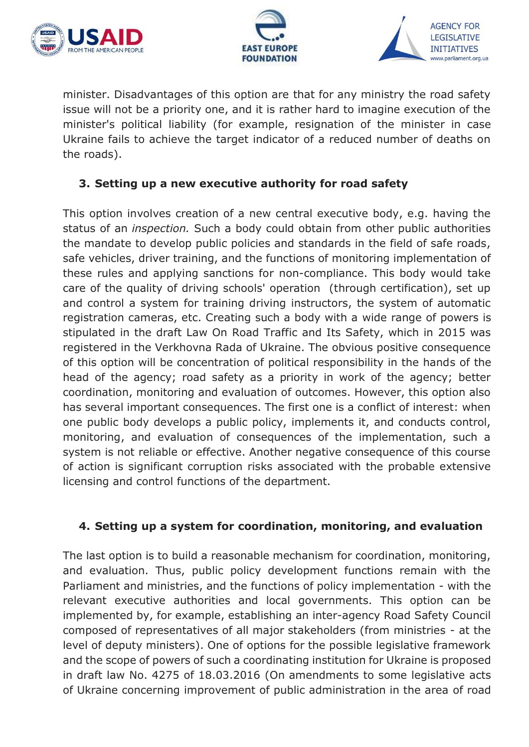





minister. Disadvantages of this option are that for any ministry the road safety issue will not be a priority one, and it is rather hard to imagine execution of the minister's political liability (for example, resignation of the minister in case Ukraine fails to achieve the target indicator of a reduced number of deaths on the roads).

## **3. Setting up a new executive authority for road safety**

This option involves creation of a new central executive body, e.g. having the status of an *inspection.* Such a body could obtain from other public authorities the mandate to develop public policies and standards in the field of safe roads, safe vehicles, driver training, and the functions of monitoring implementation of these rules and applying sanctions for non-compliance. This body would take care of the quality of driving schools' operation (through certification), set up and control a system for training driving instructors, the system of automatic registration cameras, etc. Creating such a body with a wide range of powers is stipulated in the draft Law On Road Traffic and Its Safety, which in 2015 was registered in the Verkhovna Rada of Ukraine. The obvious positive consequence of this option will be concentration of political responsibility in the hands of the head of the agency; road safety as a priority in work of the agency; better coordination, monitoring and evaluation of outcomes. However, this option also has several important consequences. The first one is a conflict of interest: when one public body develops a public policy, implements it, and conducts control, monitoring, and evaluation of consequences of the implementation, such a system is not reliable or effective. Another negative consequence of this course of action is significant corruption risks associated with the probable extensive licensing and control functions of the department.

## **4. Setting up a system for coordination, monitoring, and evaluation**

The last option is to build a reasonable mechanism for coordination, monitoring, and evaluation. Thus, public policy development functions remain with the Parliament and ministries, and the functions of policy implementation - with the relevant executive authorities and local governments. This option can be implemented by, for example, establishing an inter-agency Road Safety Council composed of representatives of all major stakeholders (from ministries - at the level of deputy ministers). One of options for the possible legislative framework and the scope of powers of such a coordinating institution for Ukraine is proposed in draft law [No. 4275 of 18.03.2016](http://search.ligazakon.ua/l_doc2.nsf/link1/JH3AR00A.html) (On amendments to some legislative acts of Ukraine concerning improvement of public administration in the area of road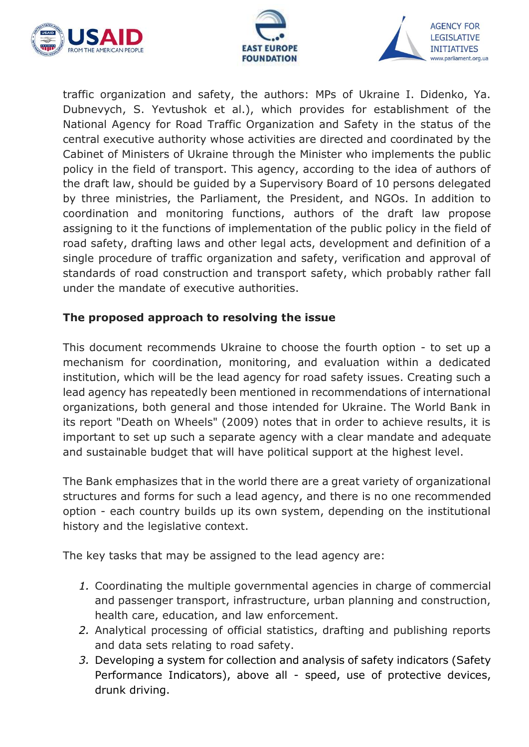





traffic organization and safety, the authors: MPs of Ukraine I. Didenko, Ya. Dubnevych, S. Yevtushok et al.), which provides for establishment of the National Agency for Road Traffic Organization and Safety in the status of the central executive authority whose activities are directed and coordinated by the Cabinet of Ministers of Ukraine through the Minister who implements the public policy in the field of transport. This agency, according to the idea of authors of the draft law, should be guided by a Supervisory Board of 10 persons delegated by three ministries, the Parliament, the President, and NGOs. In addition to coordination and monitoring functions, authors of the draft law propose assigning to it the functions of implementation of the public policy in the field of road safety, drafting laws and other legal acts, development and definition of a single procedure of traffic organization and safety, verification and approval of standards of road construction and transport safety, which probably rather fall under the mandate of executive authorities.

## **The proposed approach to resolving the issue**

This document recommends Ukraine to choose the fourth option - to set up a mechanism for coordination, monitoring, and evaluation within a dedicated institution, which will be the lead agency for road safety issues. Creating such a lead agency has repeatedly been mentioned in recommendations of international organizations, both general and those intended for Ukraine. The World Bank in its report "Death on Wheels" (2009) notes that in order to achieve results, it is important to set up such a separate agency with a clear mandate and adequate and sustainable budget that will have political support at the highest level.

The Bank emphasizes that in the world there are a great variety of organizational structures and forms for such a lead agency, and there is no one recommended option - each country builds up its own system, depending on the institutional history and the legislative context.

The key tasks that may be assigned to the lead agency are:

- *1.* Coordinating the multiple governmental agencies in charge of commercial and passenger transport, infrastructure, urban planning and construction, health care, education, and law enforcement.
- *2.* Analytical processing of official statistics, drafting and publishing reports and data sets relating to road safety.
- *3.* Developing a system for collection and analysis of safety indicators (Safety Performance Indicators), above all - speed, use of protective devices, drunk driving.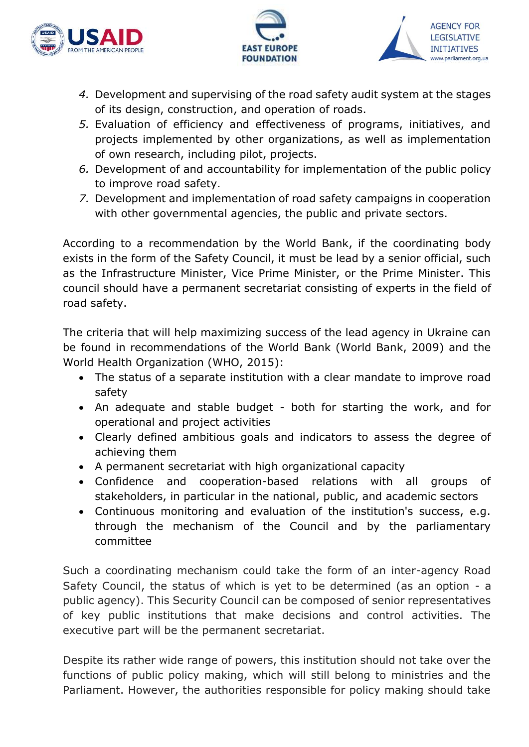





- *4.* Development and supervising of the road safety audit system at the stages of its design, construction, and operation of roads.
- *5.* Evaluation of efficiency and effectiveness of programs, initiatives, and projects implemented by other organizations, as well as implementation of own research, including pilot, projects.
- *6.* Development of and accountability for implementation of the public policy to improve road safety.
- *7.* Development and implementation of road safety campaigns in cooperation with other governmental agencies, the public and private sectors.

According to a recommendation by the World Bank, if the coordinating body exists in the form of the Safety Council, it must be lead by a senior official, such as the Infrastructure Minister, Vice Prime Minister, or the Prime Minister. This council should have a permanent secretariat consisting of experts in the field of road safety.

The criteria that will help maximizing success of the lead agency in Ukraine can be found in recommendations of the World Bank (World Bank, 2009) and the World Health Organization (WHO, 2015):

- The status of a separate institution with a clear mandate to improve road safety
- An adequate and stable budget both for starting the work, and for operational and project activities
- Clearly defined ambitious goals and indicators to assess the degree of achieving them
- A permanent secretariat with high organizational capacity
- Confidence and cooperation-based relations with all groups of stakeholders, in particular in the national, public, and academic sectors
- Continuous monitoring and evaluation of the institution's success, e.g. through the mechanism of the Council and by the parliamentary committee

Such a coordinating mechanism could take the form of an inter-agency Road Safety Council, the status of which is yet to be determined (as an option - a public agency). This Security Council can be composed of senior representatives of key public institutions that make decisions and control activities. The executive part will be the permanent secretariat.

Despite its rather wide range of powers, this institution should not take over the functions of public policy making, which will still belong to ministries and the Parliament. However, the authorities responsible for policy making should take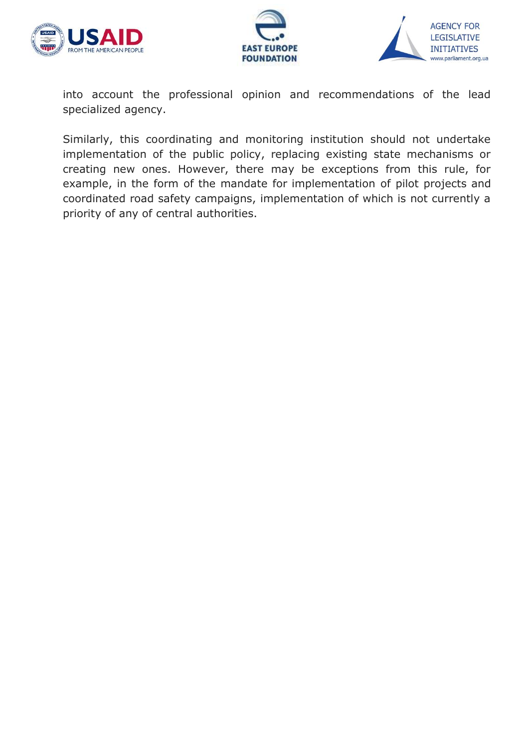





into account the professional opinion and recommendations of the lead specialized agency.

Similarly, this coordinating and monitoring institution should not undertake implementation of the public policy, replacing existing state mechanisms or creating new ones. However, there may be exceptions from this rule, for example, in the form of the mandate for implementation of pilot projects and coordinated road safety campaigns, implementation of which is not currently a priority of any of central authorities.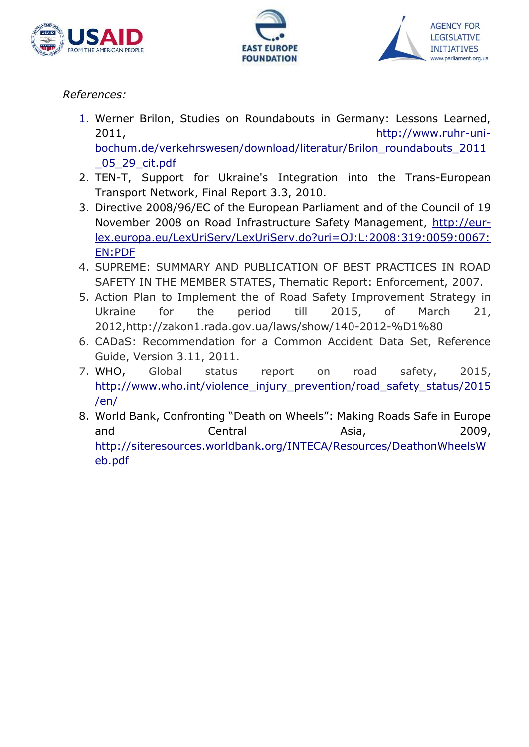





## *References:*

- 1. Werner Brilon, Studies on Roundabouts in Germany: Lessons Learned, 2011, [http://www.ruhr-uni](http://www.ruhr-uni-bochum.de/verkehrswesen/download/literatur/Brilon_roundabouts_2011_05_29_cit.pdf)[bochum.de/verkehrswesen/download/literatur/Brilon\\_roundabouts\\_2011](http://www.ruhr-uni-bochum.de/verkehrswesen/download/literatur/Brilon_roundabouts_2011_05_29_cit.pdf) [\\_05\\_29\\_cit.pdf](http://www.ruhr-uni-bochum.de/verkehrswesen/download/literatur/Brilon_roundabouts_2011_05_29_cit.pdf)
- 2. TEN-T, Support for Ukraine's Integration into the Trans-European Transport Network, Final Report 3.3, 2010.
- 3. Directive 2008/96/EС of the European Parliament and of the Council of 19 November 2008 on Road Infrastructure Safety Management, [http://eur](http://eur-lex.europa.eu/LexUriServ/LexUriServ.do?uri=OJ:L:2008:319:0059:0067:EN:PDF)[lex.europa.eu/LexUriServ/LexUriServ.do?uri=OJ:L:2008:319:0059:0067:](http://eur-lex.europa.eu/LexUriServ/LexUriServ.do?uri=OJ:L:2008:319:0059:0067:EN:PDF) [EN:PDF](http://eur-lex.europa.eu/LexUriServ/LexUriServ.do?uri=OJ:L:2008:319:0059:0067:EN:PDF)
- 4. SUPREME: SUMMARY AND PUBLICATION OF BEST PRACTICES IN ROAD SAFETY IN THE MEMBER STATES, Thematic Report: Enforcement, 2007.
- 5. Action Plan to Implement the of Road Safety Improvement Strategy in Ukraine for the period till 2015, of March 21, 2012[,http://zakon1.rada.gov.ua/laws/show/140-2012-%D1%80](http://zakon1.rada.gov.ua/laws/show/140-2012-%D1%80)
- 6. СADaS: Recommendation for a Common Accident Data Set, Reference Guide, Version 3.11, 2011.
- 7. WHO, Global status report on road safety, 2015, [http://www.who.int/violence\\_injury\\_prevention/road\\_safety\\_status/2015](http://www.who.int/violence_injury_prevention/road_safety_status/2015/en/) [/en/](http://www.who.int/violence_injury_prevention/road_safety_status/2015/en/)
- 8. World Bank, Confronting "Death on Wheels": Making Roads Safe in Europe and Central Asia, 2009, [http://siteresources.worldbank.org/INTECA/Resources/DeathonWheelsW](http://siteresources.worldbank.org/INTECA/Resources/DeathonWheelsWeb.pdf) [eb.pdf](http://siteresources.worldbank.org/INTECA/Resources/DeathonWheelsWeb.pdf)